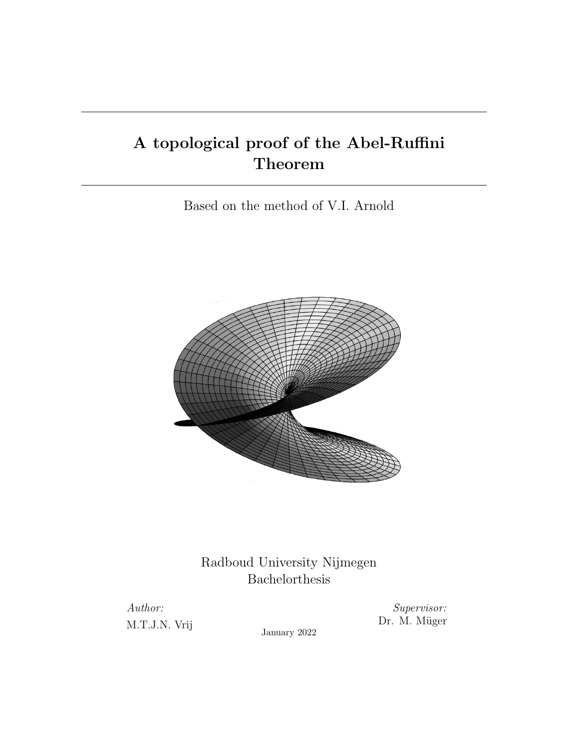# A topological proof of the Abel-Ruffini Theorem

Based on the method of V.I. Arnold



Radboud University Nijmegen Bachelorthesis

Author: M.T.J.N. Vrij

Supervisor: Dr. M. Müger

January 2022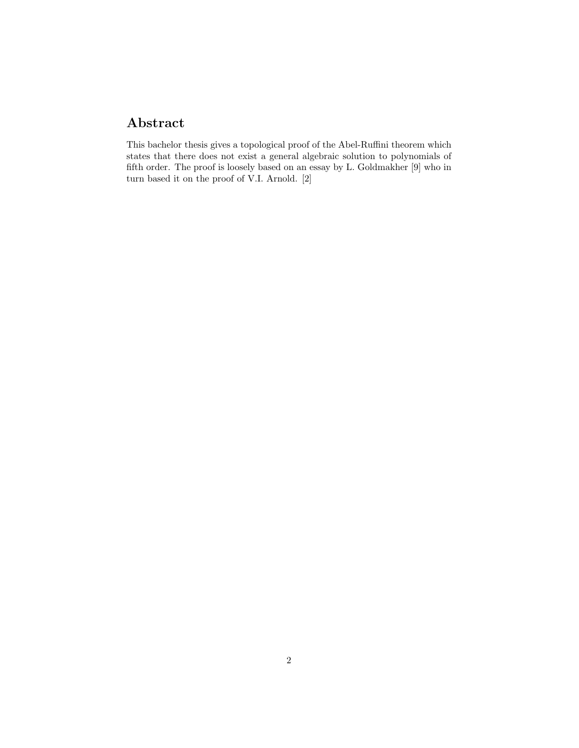## Abstract

This bachelor thesis gives a topological proof of the Abel-Ruffini theorem which states that there does not exist a general algebraic solution to polynomials of fifth order. The proof is loosely based on an essay by L. Goldmakher [9] who in turn based it on the proof of V.I. Arnold. [2]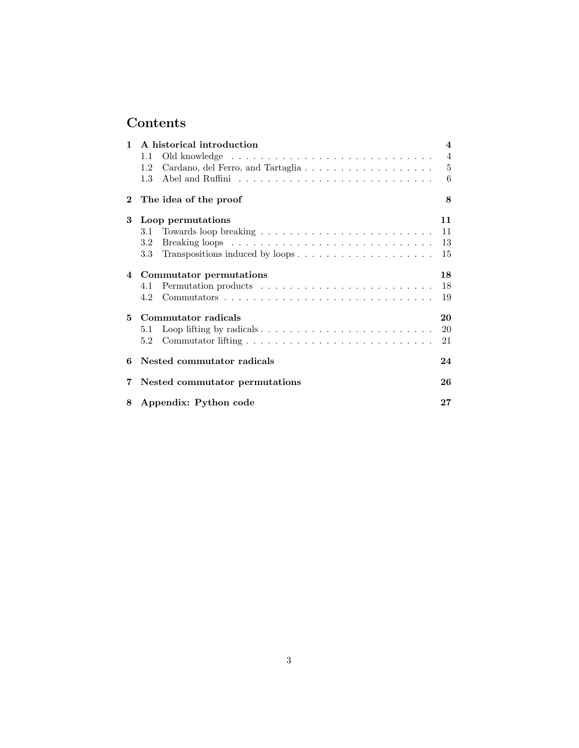## Contents

| $\mathbf{1}$   | A historical introduction                | $\overline{\mathbf{4}}$ |
|----------------|------------------------------------------|-------------------------|
|                | 1.1                                      | $\overline{4}$          |
|                | Cardano, del Ferro, and Tartaglia<br>1.2 | $\overline{5}$          |
|                | 1.3                                      | 6                       |
| $\overline{2}$ | The idea of the proof                    | 8                       |
| 3              | Loop permutations                        | 11                      |
|                |                                          | 11                      |
|                | 3.2                                      | 13                      |
|                | 3.3 Transpositions induced by loops      | 15                      |
|                | 4 Commutator permutations                | 18                      |
|                | 4.1                                      | 18                      |
|                | 4.2                                      | 19                      |
| 5.             | Commutator radicals                      | 20                      |
|                | 5.1                                      | 20                      |
|                | 5.2                                      | 21                      |
|                | 6 Nested commutator radicals             | 24                      |
| 7              | Nested commutator permutations           | 26                      |
| 8              | Appendix: Python code                    | $27\,$                  |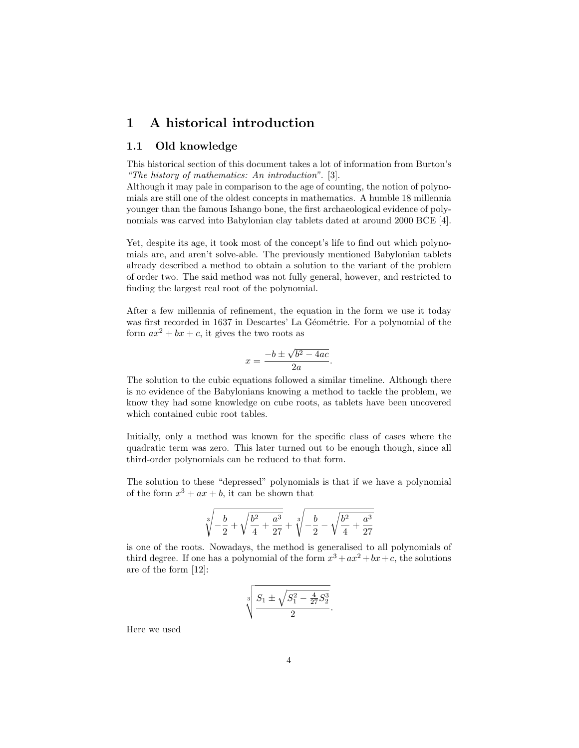## 1 A historical introduction

#### 1.1 Old knowledge

This historical section of this document takes a lot of information from Burton's "The history of mathematics: An introduction". [3].

Although it may pale in comparison to the age of counting, the notion of polynomials are still one of the oldest concepts in mathematics. A humble 18 millennia younger than the famous Ishango bone, the first archaeological evidence of polynomials was carved into Babylonian clay tablets dated at around 2000 BCE [4].

Yet, despite its age, it took most of the concept's life to find out which polynomials are, and aren't solve-able. The previously mentioned Babylonian tablets already described a method to obtain a solution to the variant of the problem of order two. The said method was not fully general, however, and restricted to finding the largest real root of the polynomial.

After a few millennia of refinement, the equation in the form we use it today was first recorded in 1637 in Descartes' La Géométrie. For a polynomial of the form  $ax^2 + bx + c$ , it gives the two roots as

$$
x = \frac{-b \pm \sqrt{b^2 - 4ac}}{2a}.
$$

The solution to the cubic equations followed a similar timeline. Although there is no evidence of the Babylonians knowing a method to tackle the problem, we know they had some knowledge on cube roots, as tablets have been uncovered which contained cubic root tables.

Initially, only a method was known for the specific class of cases where the quadratic term was zero. This later turned out to be enough though, since all third-order polynomials can be reduced to that form.

The solution to these "depressed" polynomials is that if we have a polynomial of the form  $x^3 + ax + b$ , it can be shown that

$$
\sqrt[3]{-\frac{b}{2}+\sqrt{\frac{b^2}{4}+\frac{a^3}{27}}}+\sqrt[3]{-\frac{b}{2}-\sqrt{\frac{b^2}{4}+\frac{a^3}{27}}}
$$

is one of the roots. Nowadays, the method is generalised to all polynomials of third degree. If one has a polynomial of the form  $x^3 + ax^2 + bx + c$ , the solutions are of the form [12]:

$$
\sqrt[3]{\frac{S_1 \pm \sqrt{S_1^2 - \frac{4}{27}S_2^3}}{2}}.
$$

Here we used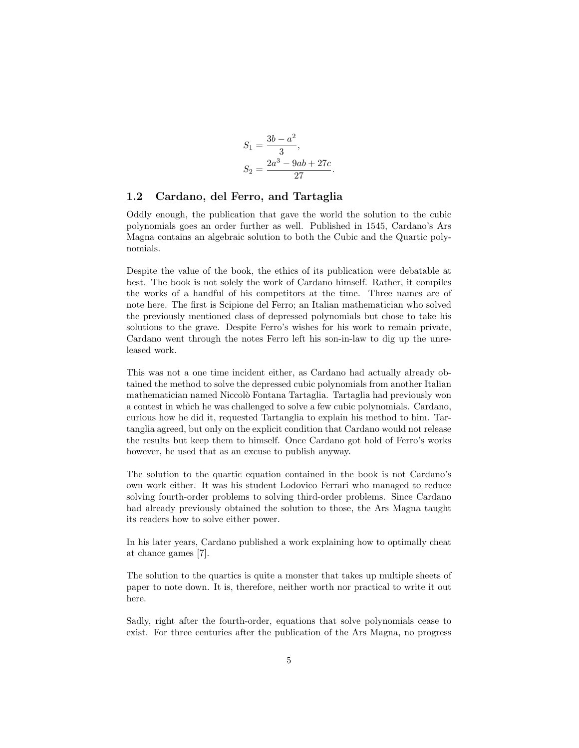$$
S_1 = \frac{3b - a^2}{3},
$$
  
\n
$$
S_2 = \frac{2a^3 - 9ab + 27c}{27}
$$

.

#### 1.2 Cardano, del Ferro, and Tartaglia

Oddly enough, the publication that gave the world the solution to the cubic polynomials goes an order further as well. Published in 1545, Cardano's Ars Magna contains an algebraic solution to both the Cubic and the Quartic polynomials.

Despite the value of the book, the ethics of its publication were debatable at best. The book is not solely the work of Cardano himself. Rather, it compiles the works of a handful of his competitors at the time. Three names are of note here. The first is Scipione del Ferro; an Italian mathematician who solved the previously mentioned class of depressed polynomials but chose to take his solutions to the grave. Despite Ferro's wishes for his work to remain private, Cardano went through the notes Ferro left his son-in-law to dig up the unreleased work.

This was not a one time incident either, as Cardano had actually already obtained the method to solve the depressed cubic polynomials from another Italian mathematician named Niccolò Fontana Tartaglia. Tartaglia had previously won a contest in which he was challenged to solve a few cubic polynomials. Cardano, curious how he did it, requested Tartanglia to explain his method to him. Tartanglia agreed, but only on the explicit condition that Cardano would not release the results but keep them to himself. Once Cardano got hold of Ferro's works however, he used that as an excuse to publish anyway.

The solution to the quartic equation contained in the book is not Cardano's own work either. It was his student Lodovico Ferrari who managed to reduce solving fourth-order problems to solving third-order problems. Since Cardano had already previously obtained the solution to those, the Ars Magna taught its readers how to solve either power.

In his later years, Cardano published a work explaining how to optimally cheat at chance games [7].

The solution to the quartics is quite a monster that takes up multiple sheets of paper to note down. It is, therefore, neither worth nor practical to write it out here.

Sadly, right after the fourth-order, equations that solve polynomials cease to exist. For three centuries after the publication of the Ars Magna, no progress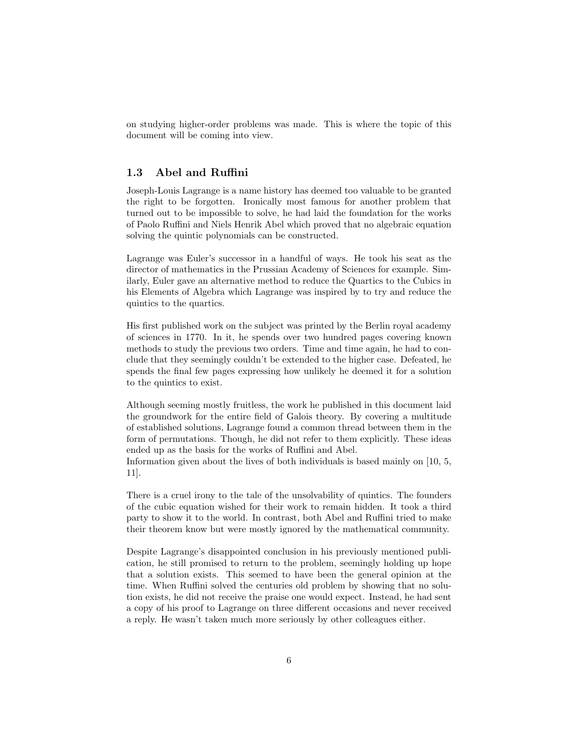on studying higher-order problems was made. This is where the topic of this document will be coming into view.

#### 1.3 Abel and Ruffini

Joseph-Louis Lagrange is a name history has deemed too valuable to be granted the right to be forgotten. Ironically most famous for another problem that turned out to be impossible to solve, he had laid the foundation for the works of Paolo Ruffini and Niels Henrik Abel which proved that no algebraic equation solving the quintic polynomials can be constructed.

Lagrange was Euler's successor in a handful of ways. He took his seat as the director of mathematics in the Prussian Academy of Sciences for example. Similarly, Euler gave an alternative method to reduce the Quartics to the Cubics in his Elements of Algebra which Lagrange was inspired by to try and reduce the quintics to the quartics.

His first published work on the subject was printed by the Berlin royal academy of sciences in 1770. In it, he spends over two hundred pages covering known methods to study the previous two orders. Time and time again, he had to conclude that they seemingly couldn't be extended to the higher case. Defeated, he spends the final few pages expressing how unlikely he deemed it for a solution to the quintics to exist.

Although seeming mostly fruitless, the work he published in this document laid the groundwork for the entire field of Galois theory. By covering a multitude of established solutions, Lagrange found a common thread between them in the form of permutations. Though, he did not refer to them explicitly. These ideas ended up as the basis for the works of Ruffini and Abel.

Information given about the lives of both individuals is based mainly on [10, 5, 11].

There is a cruel irony to the tale of the unsolvability of quintics. The founders of the cubic equation wished for their work to remain hidden. It took a third party to show it to the world. In contrast, both Abel and Ruffini tried to make their theorem know but were mostly ignored by the mathematical community.

Despite Lagrange's disappointed conclusion in his previously mentioned publication, he still promised to return to the problem, seemingly holding up hope that a solution exists. This seemed to have been the general opinion at the time. When Ruffini solved the centuries old problem by showing that no solution exists, he did not receive the praise one would expect. Instead, he had sent a copy of his proof to Lagrange on three different occasions and never received a reply. He wasn't taken much more seriously by other colleagues either.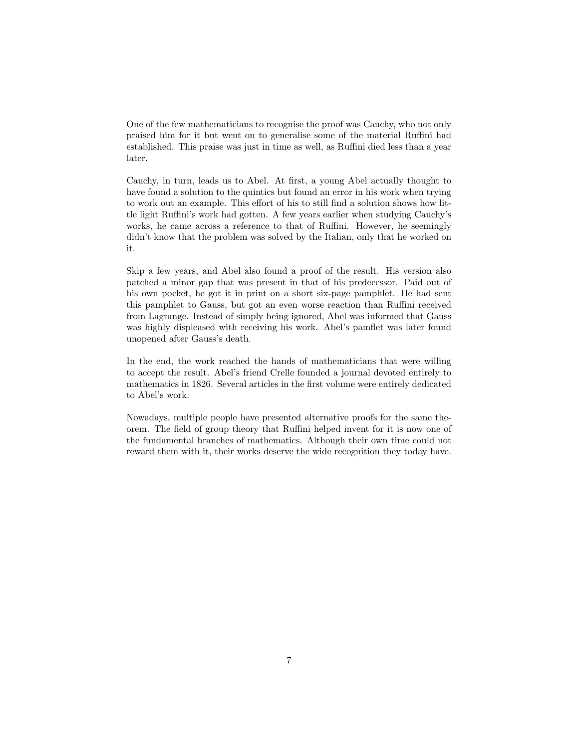One of the few mathematicians to recognise the proof was Cauchy, who not only praised him for it but went on to generalise some of the material Ruffini had established. This praise was just in time as well, as Ruffini died less than a year later.

Cauchy, in turn, leads us to Abel. At first, a young Abel actually thought to have found a solution to the quintics but found an error in his work when trying to work out an example. This effort of his to still find a solution shows how little light Ruffini's work had gotten. A few years earlier when studying Cauchy's works, he came across a reference to that of Ruffini. However, he seemingly didn't know that the problem was solved by the Italian, only that he worked on it.

Skip a few years, and Abel also found a proof of the result. His version also patched a minor gap that was present in that of his predecessor. Paid out of his own pocket, he got it in print on a short six-page pamphlet. He had sent this pamphlet to Gauss, but got an even worse reaction than Ruffini received from Lagrange. Instead of simply being ignored, Abel was informed that Gauss was highly displeased with receiving his work. Abel's pamflet was later found unopened after Gauss's death.

In the end, the work reached the hands of mathematicians that were willing to accept the result. Abel's friend Crelle founded a journal devoted entirely to mathematics in 1826. Several articles in the first volume were entirely dedicated to Abel's work.

Nowadays, multiple people have presented alternative proofs for the same theorem. The field of group theory that Ruffini helped invent for it is now one of the fundamental branches of mathematics. Although their own time could not reward them with it, their works deserve the wide recognition they today have.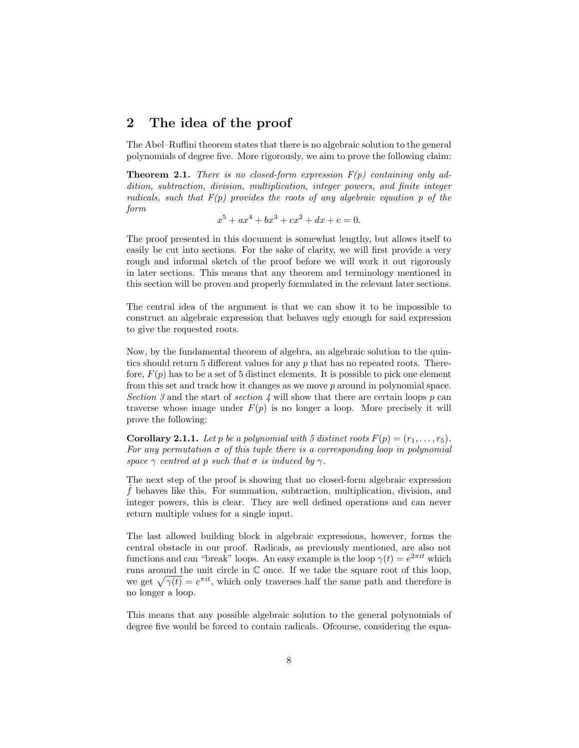## 2 The idea of the proof

The Abel–Ruffini theorem states that there is no algebraic solution to the general polynomials of degree five. More rigorously, we aim to prove the following claim:

**Theorem 2.1.** There is no closed-form expression  $F(p)$  containing only addition, subtraction, division, multiplication, integer powers, and finite integer radicals, such that  $F(p)$  provides the roots of any algebraic equation p of the form

$$
x^5 + ax^4 + bx^3 + cx^2 + dx + e = 0.
$$

The proof presented in this document is somewhat lengthy, but allows itself to easily be cut into sections. For the sake of clarity, we will first provide a very rough and informal sketch of the proof before we will work it out rigorously in later sections. This means that any theorem and terminology mentioned in this section will be proven and properly formulated in the relevant later sections.

The central idea of the argument is that we can show it to be impossible to construct an algebraic expression that behaves ugly enough for said expression to give the requested roots.

Now, by the fundamental theorem of algebra, an algebraic solution to the quintics should return 5 different values for any p that has no repeated roots. Therefore,  $F(p)$  has to be a set of 5 distinct elements. It is possible to pick one element from this set and track how it changes as we move p around in polynomial space. Section 3 and the start of section 4 will show that there are certain loops p can traverse whose image under  $F(p)$  is no longer a loop. More precisely it will prove the following:

**Corollary 2.1.1.** Let p be a polynomial with 5 distinct roots  $F(p) = (r_1, \ldots, r_5)$ . For any permutation  $\sigma$  of this tuple there is a corresponding loop in polynomial space  $\gamma$  centred at p such that  $\sigma$  is induced by  $\gamma$ .

The next step of the proof is showing that no closed-form algebraic expression ˆf behaves like this. For summation, subtraction, multiplication, division, and integer powers, this is clear. They are well defined operations and can never return multiple values for a single input.

The last allowed building block in algebraic expressions, however, forms the central obstacle in our proof. Radicals, as previously mentioned, are also not functions and can "break" loops. An easy example is the loop  $\gamma(t) = e^{2\pi i t}$  which runs around the unit circle in  $\mathbb C$  once. If we take the square root of this loop, we get  $\sqrt{\gamma(t)} = e^{\pi i t}$ , which only traverses half the same path and therefore is no longer a loop.

This means that any possible algebraic solution to the general polynomials of degree five would be forced to contain radicals. Ofcourse, considering the equa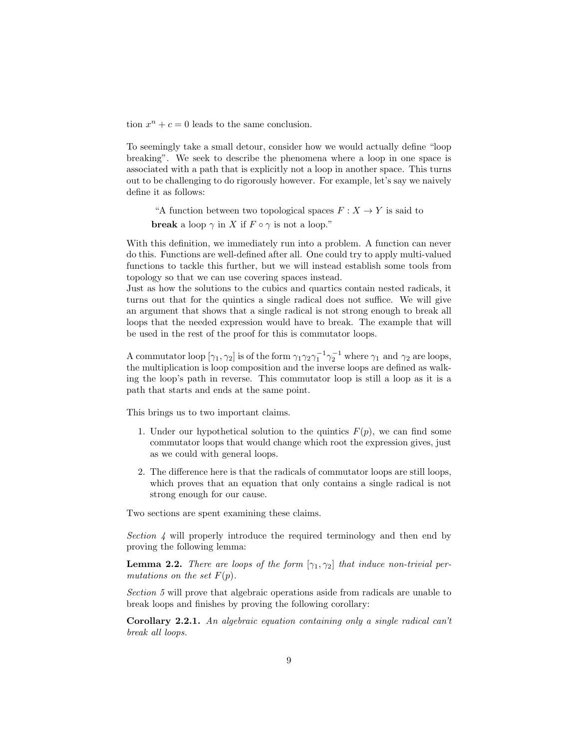tion  $x^n + c = 0$  leads to the same conclusion.

To seemingly take a small detour, consider how we would actually define "loop breaking". We seek to describe the phenomena where a loop in one space is associated with a path that is explicitly not a loop in another space. This turns out to be challenging to do rigorously however. For example, let's say we naively define it as follows:

"A function between two topological spaces  $F: X \to Y$  is said to **break** a loop  $\gamma$  in X if  $F \circ \gamma$  is not a loop."

With this definition, we immediately run into a problem. A function can never do this. Functions are well-defined after all. One could try to apply multi-valued functions to tackle this further, but we will instead establish some tools from topology so that we can use covering spaces instead.

Just as how the solutions to the cubics and quartics contain nested radicals, it turns out that for the quintics a single radical does not suffice. We will give an argument that shows that a single radical is not strong enough to break all loops that the needed expression would have to break. The example that will be used in the rest of the proof for this is commutator loops.

A commutator loop  $[\gamma_1, \gamma_2]$  is of the form  $\gamma_1 \gamma_2 \gamma_1^{-1} \gamma_2^{-1}$  where  $\gamma_1$  and  $\gamma_2$  are loops, the multiplication is loop composition and the inverse loops are defined as walking the loop's path in reverse. This commutator loop is still a loop as it is a path that starts and ends at the same point.

This brings us to two important claims.

- 1. Under our hypothetical solution to the quintics  $F(p)$ , we can find some commutator loops that would change which root the expression gives, just as we could with general loops.
- 2. The difference here is that the radicals of commutator loops are still loops, which proves that an equation that only contains a single radical is not strong enough for our cause.

Two sections are spent examining these claims.

Section 4 will properly introduce the required terminology and then end by proving the following lemma:

**Lemma 2.2.** There are loops of the form  $[\gamma_1, \gamma_2]$  that induce non-trivial permutations on the set  $F(p)$ .

Section 5 will prove that algebraic operations aside from radicals are unable to break loops and finishes by proving the following corollary:

**Corollary 2.2.1.** An algebraic equation containing only a single radical can't break all loops.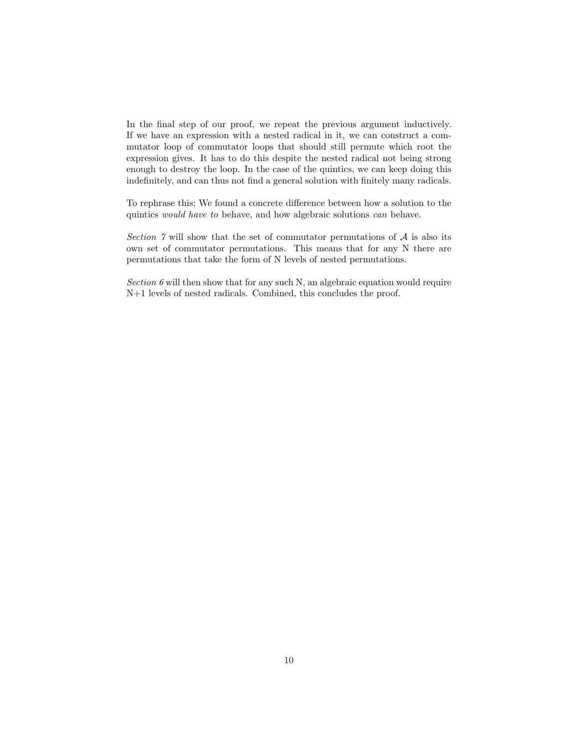In the final step of our proof, we repeat the previous argument inductively. If we have an expression with a nested radical in it, we can construct a commutator loop of commutator loops that should still permute which root the expression gives. It has to do this despite the nested radical not being strong enough to destroy the loop. In the case of the quintics, we can keep doing this indefinitely, and can thus not find a general solution with finitely many radicals.

To rephrase this; We found a concrete difference between how a solution to the quintics would have to behave, and how algebraic solutions can behave.

Section  $\gamma$  will show that the set of commutator permutations of  $\mathcal A$  is also its own set of commutator permutations. This means that for any N there are permutations that take the form of N levels of nested permutations.

Section  $6$  will then show that for any such N, an algebraic equation would require N+1 levels of nested radicals. Combined, this concludes the proof.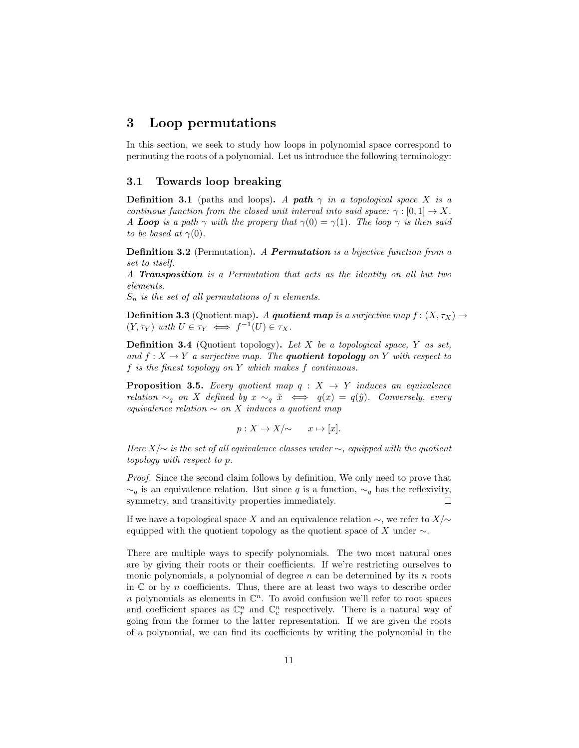## 3 Loop permutations

In this section, we seek to study how loops in polynomial space correspond to permuting the roots of a polynomial. Let us introduce the following terminology:

#### 3.1 Towards loop breaking

**Definition 3.1** (paths and loops). A path  $\gamma$  in a topological space X is a continous function from the closed unit interval into said space:  $\gamma : [0,1] \to X$ . A Loop is a path  $\gamma$  with the propery that  $\gamma(0) = \gamma(1)$ . The loop  $\gamma$  is then said to be based at  $\gamma(0)$ .

Definition 3.2 (Permutation). A Permutation is a bijective function from a set to itself.

A Transposition is a Permutation that acts as the identity on all but two elements.

 $S_n$  is the set of all permutations of n elements.

**Definition 3.3** (Quotient map). A quotient map is a surjective map  $f : (X, \tau_X) \to$  $(Y, \tau_Y)$  with  $U \in \tau_Y \iff f^{-1}(U) \in \tau_X$ .

**Definition 3.4** (Quotient topology). Let X be a topological space, Y as set, and  $f: X \to Y$  a surjective map. The **quotient topology** on Y with respect to f is the finest topology on Y which makes f continuous.

**Proposition 3.5.** Every quotient map  $q : X \rightarrow Y$  induces an equivalence relation  $\sim_q$  on X defined by  $x \sim_q \tilde{x} \iff q(x) = q(\tilde{y})$ . Conversely, every equivalence relation  $\sim$  on X induces a quotient map

$$
p: X \to X/\sim \quad x \mapsto [x].
$$

Here  $X/\sim$  is the set of all equivalence classes under  $\sim$ , equipped with the quotient topology with respect to p.

Proof. Since the second claim follows by definition, We only need to prove that  $\sim_q$  is an equivalence relation. But since q is a function,  $\sim_q$  has the reflexivity, symmetry, and transitivity properties immediately.  $\Box$ 

If we have a topological space X and an equivalence relation  $\sim$ , we refer to  $X/\sim$ equipped with the quotient topology as the quotient space of X under  $\sim$ .

There are multiple ways to specify polynomials. The two most natural ones are by giving their roots or their coefficients. If we're restricting ourselves to monic polynomials, a polynomial of degree  $n$  can be determined by its  $n$  roots in  $\mathbb C$  or by *n* coefficients. Thus, there are at least two ways to describe order n polynomials as elements in  $\mathbb{C}^n$ . To avoid confusion we'll refer to root spaces and coefficient spaces as  $\mathbb{C}_r^n$  and  $\mathbb{C}_c^n$  respectively. There is a natural way of going from the former to the latter representation. If we are given the roots of a polynomial, we can find its coefficients by writing the polynomial in the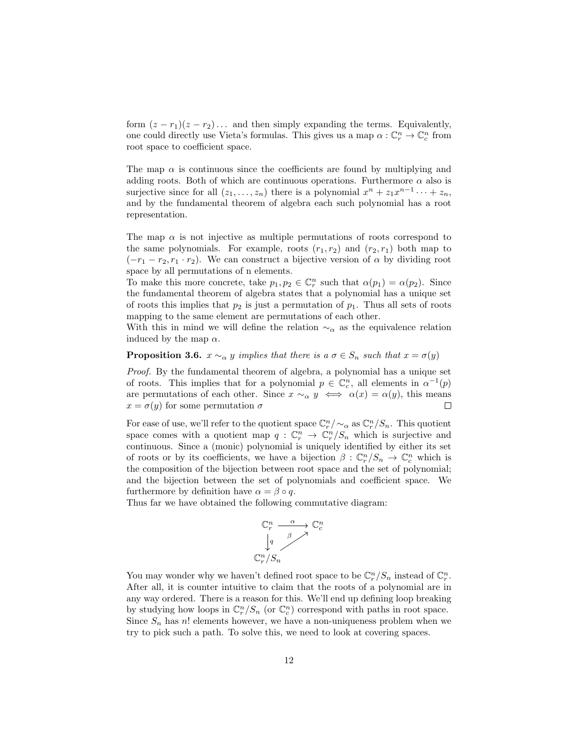form  $(z - r_1)(z - r_2) \dots$  and then simply expanding the terms. Equivalently, one could directly use Vieta's formulas. This gives us a map  $\alpha : \mathbb{C}_r^n \to \mathbb{C}_c^n$  from root space to coefficient space.

The map  $\alpha$  is continuous since the coefficients are found by multiplying and adding roots. Both of which are continuous operations. Furthermore  $\alpha$  also is surjective since for all  $(z_1, \ldots, z_n)$  there is a polynomial  $x^n + z_1 x^{n-1} \cdots + z_n$ , and by the fundamental theorem of algebra each such polynomial has a root representation.

The map  $\alpha$  is not injective as multiple permutations of roots correspond to the same polynomials. For example, roots  $(r_1, r_2)$  and  $(r_2, r_1)$  both map to  $(-r_1 - r_2, r_1 \cdot r_2)$ . We can construct a bijective version of  $\alpha$  by dividing root space by all permutations of n elements.

To make this more concrete, take  $p_1, p_2 \in \mathbb{C}_r^n$  such that  $\alpha(p_1) = \alpha(p_2)$ . Since the fundamental theorem of algebra states that a polynomial has a unique set of roots this implies that  $p_2$  is just a permutation of  $p_1$ . Thus all sets of roots mapping to the same element are permutations of each other.

With this in mind we will define the relation  $\sim_\alpha$  as the equivalence relation induced by the map  $\alpha$ .

**Proposition 3.6.**  $x \sim_\alpha y$  implies that there is  $a \sigma \in S_n$  such that  $x = \sigma(y)$ 

Proof. By the fundamental theorem of algebra, a polynomial has a unique set of roots. This implies that for a polynomial  $p \in \mathbb{C}_c^n$ , all elements in  $\alpha^{-1}(p)$ are permutations of each other. Since  $x \sim_\alpha y \iff \alpha(x) = \alpha(y)$ , this means  $x = \sigma(y)$  for some permutation  $\sigma$  $\Box$ 

For ease of use, we'll refer to the quotient space  $\mathbb{C}_r^n/\sim_\alpha$  as  $\mathbb{C}_r^n/S_n$ . This quotient space comes with a quotient map  $q: \mathbb{C}_r^n \to \mathbb{C}_r^n/S_n$  which is surjective and continuous. Since a (monic) polynomial is uniquely identified by either its set of roots or by its coefficients, we have a bijection  $\beta: \mathbb{C}_r^n/S_n \to \mathbb{C}_c^n$  which is the composition of the bijection between root space and the set of polynomial; and the bijection between the set of polynomials and coefficient space. We furthermore by definition have  $\alpha = \beta \circ q$ .

Thus far we have obtained the following commutative diagram:

$$
\begin{array}{ccc}\n\mathbb{C}^n_r & \xrightarrow{\alpha} & \mathbb{C} \\
\downarrow^q & & \nearrow \\
\mathbb{C}^n_r / S_n\n\end{array}
$$

n c

You may wonder why we haven't defined root space to be  $\mathbb{C}_r^n/S_n$  instead of  $\mathbb{C}_r^n$ . After all, it is counter intuitive to claim that the roots of a polynomial are in any way ordered. There is a reason for this. We'll end up defining loop breaking by studying how loops in  $\mathbb{C}_r^n/S_n$  (or  $\mathbb{C}_c^n$ ) correspond with paths in root space. Since  $S_n$  has n! elements however, we have a non-uniqueness problem when we try to pick such a path. To solve this, we need to look at covering spaces.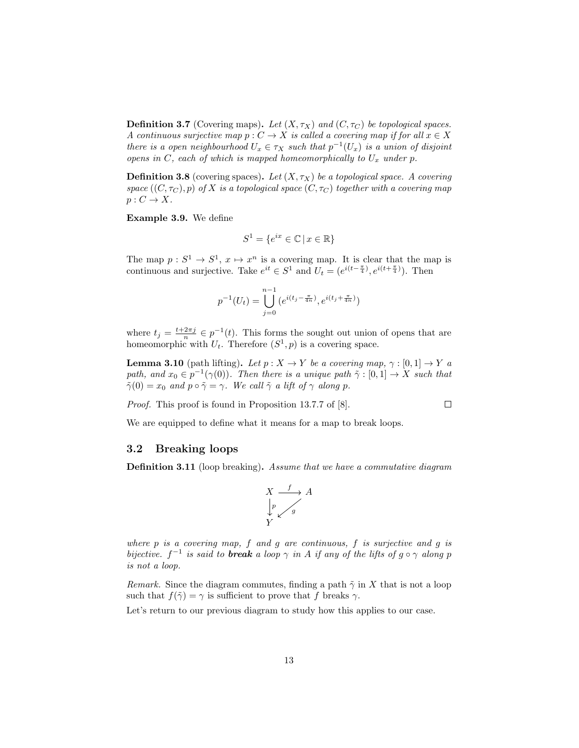**Definition 3.7** (Covering maps). Let  $(X, \tau_X)$  and  $(C, \tau_C)$  be topological spaces. A continuous surjective map  $p : C \to X$  is called a covering map if for all  $x \in X$ there is a open neighbourhood  $U_x \in \tau_X$  such that  $p^{-1}(U_x)$  is a union of disjoint opens in  $C$ , each of which is mapped homeomorphically to  $U_x$  under p.

**Definition 3.8** (covering spaces). Let  $(X, \tau_X)$  be a topological space. A covering space  $((C, \tau_C), p)$  of X is a topological space  $(C, \tau_C)$  together with a covering map  $p: C \to X$ .

Example 3.9. We define

$$
S^1 = \{ e^{ix} \in \mathbb{C} \mid x \in \mathbb{R} \}
$$

The map  $p: S^1 \to S^1$ ,  $x \mapsto x^n$  is a covering map. It is clear that the map is continuous and surjective. Take  $e^{it} \in S^1$  and  $U_t = (e^{i(t-\frac{\pi}{4})}, e^{i(t+\frac{\pi}{4})})$ . Then

$$
p^{-1}(U_t) = \bigcup_{j=0}^{n-1} (e^{i(t_j - \frac{\pi}{4n})}, e^{i(t_j + \frac{\pi}{4n})})
$$

where  $t_j = \frac{t+2\pi j}{n} \in p^{-1}(t)$ . This forms the sought out union of opens that are homeomorphic with  $U_t$ . Therefore  $(S^1, p)$  is a covering space.

**Lemma 3.10** (path lifting). Let  $p : X \to Y$  be a covering map,  $\gamma : [0,1] \to Y$  a path, and  $x_0 \in p^{-1}(\gamma(0))$ . Then there is a unique path  $\tilde{\gamma} : [0,1] \to X$  such that  $\tilde{\gamma}(0) = x_0$  and  $p \circ \tilde{\gamma} = \gamma$ . We call  $\tilde{\gamma}$  a lift of  $\gamma$  along p.

 $\Box$ 

Proof. This proof is found in Proposition 13.7.7 of [8].

We are equipped to define what it means for a map to break loops.

#### 3.2 Breaking loops

Definition 3.11 (loop breaking). Assume that we have a commutative diagram



where  $p$  is a covering map,  $f$  and  $g$  are continuous,  $f$  is surjective and  $g$  is bijective.  $f^{-1}$  is said to **break** a loop  $\gamma$  in A if any of the lifts of  $g \circ \gamma$  along p is not a loop.

Remark. Since the diagram commutes, finding a path  $\tilde{\gamma}$  in X that is not a loop such that  $f(\tilde{\gamma}) = \gamma$  is sufficient to prove that f breaks  $\gamma$ .

Let's return to our previous diagram to study how this applies to our case.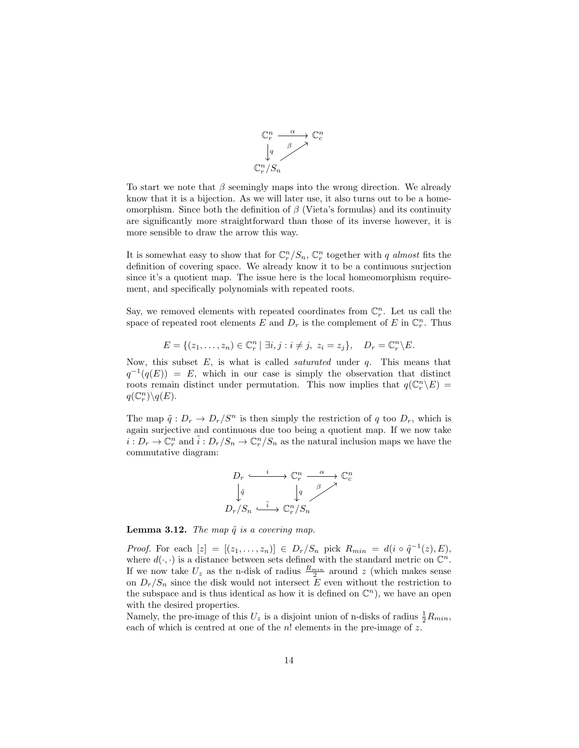

To start we note that  $\beta$  seemingly maps into the wrong direction. We already know that it is a bijection. As we will later use, it also turns out to be a homeomorphism. Since both the definition of  $\beta$  (Vieta's formulas) and its continuity are significantly more straightforward than those of its inverse however, it is more sensible to draw the arrow this way.

It is somewhat easy to show that for  $\mathbb{C}_r^n / S_n$ ,  $\mathbb{C}_r^n$  together with q almost fits the definition of covering space. We already know it to be a continuous surjection since it's a quotient map. The issue here is the local homeomorphism requirement, and specifically polynomials with repeated roots.

Say, we removed elements with repeated coordinates from  $\mathbb{C}_r^n$ . Let us call the space of repeated root elements E and  $D_r$  is the complement of E in  $\mathbb{C}_r^n$ . Thus

$$
E = \{(z_1, \ldots, z_n) \in \mathbb{C}_r^n \mid \exists i, j : i \neq j, \ z_i = z_j\}, \quad D_r = \mathbb{C}_r^n \backslash E.
$$

Now, this subset  $E$ , is what is called *saturated* under  $q$ . This means that  $q^{-1}(q(E)) = E$ , which in our case is simply the observation that distinct roots remain distinct under permutation. This now implies that  $q(\mathbb{C}_r^n \backslash E)$  =  $q(\mathbb{C}_r^n)\backslash q(E).$ 

The map  $\tilde{q}: D_r \to D_r/S^n$  is then simply the restriction of q too  $D_r$ , which is again surjective and continuous due too being a quotient map. If we now take  $i: D_r \to \mathbb{C}_r^n$  and  $\tilde{i}: D_r/S_n \to \mathbb{C}_r^n/S_n$  as the natural inclusion maps we have the commutative diagram:

$$
D_r \xrightarrow{i} \mathbb{C}_r^n \xrightarrow{\alpha} \mathbb{C}_c^n
$$

$$
\downarrow \tilde{q} \qquad \downarrow q \qquad \qquad \beta \nearrow
$$

$$
D_r/S_n \xrightarrow{\tilde{i}} \mathbb{C}_r^n/S_n
$$

**Lemma 3.12.** The map  $\tilde{q}$  is a covering map.

*Proof.* For each  $[z] = [(z_1, \ldots, z_n)] \in D_r/S_n$  pick  $R_{min} = d(i \circ \tilde{q}^{-1}(z), E),$ where  $d(\cdot, \cdot)$  is a distance between sets defined with the standard metric on  $\mathbb{C}^n$ . If we now take  $U_z$  as the n-disk of radius  $\frac{R_{min}}{2}$  around z (which makes sense on  $D_r/S_n$  since the disk would not intersect E even without the restriction to the subspace and is thus identical as how it is defined on  $\mathbb{C}^n$ , we have an open with the desired properties.

Namely, the pre-image of this  $U_z$  is a disjoint union of n-disks of radius  $\frac{1}{2}R_{min}$ , each of which is centred at one of the  $n!$  elements in the pre-image of z.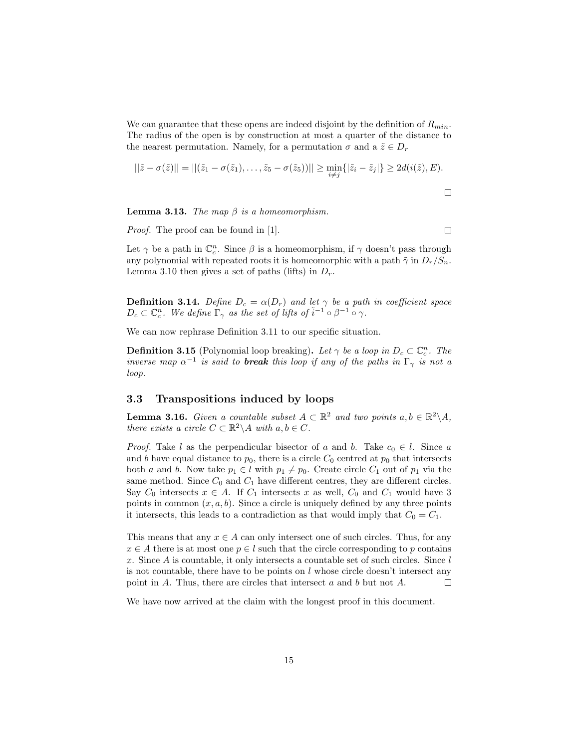We can guarantee that these opens are indeed disjoint by the definition of  $R_{min}$ . The radius of the open is by construction at most a quarter of the distance to the nearest permutation. Namely, for a permutation  $\sigma$  and a  $\tilde{z} \in D_r$ 

$$
||\tilde{z} - \sigma(\tilde{z})|| = ||(\tilde{z}_1 - \sigma(\tilde{z}_1), \dots, \tilde{z}_5 - \sigma(\tilde{z}_5))|| \ge \min_{i \neq j} \{|\tilde{z}_i - \tilde{z}_j|\} \ge 2d(i(\tilde{z}), E).
$$

**Lemma 3.13.** The map  $\beta$  is a homeomorphism.

Proof. The proof can be found in [1].

 $\Box$ 

Let  $\gamma$  be a path in  $\mathbb{C}^n_c$ . Since  $\beta$  is a homeomorphism, if  $\gamma$  doesn't pass through any polynomial with repeated roots it is homeomorphic with a path  $\tilde{\gamma}$  in  $D_r/S_n$ . Lemma 3.10 then gives a set of paths (lifts) in  $D_r$ .

**Definition 3.14.** Define  $D_c = \alpha(D_r)$  and let  $\gamma$  be a path in coefficient space  $D_c \subset \mathbb{C}_c^n$ . We define  $\Gamma_\gamma$  as the set of lifts of  $\tilde{i}^{-1} \circ \beta^{-1} \circ \gamma$ .

We can now rephrase Definition 3.11 to our specific situation.

**Definition 3.15** (Polynomial loop breaking). Let  $\gamma$  be a loop in  $D_c \subset \mathbb{C}_c^n$ . The inverse map  $\alpha^{-1}$  is said to **break** this loop if any of the paths in  $\Gamma_{\gamma}$  is not a loop.

#### 3.3 Transpositions induced by loops

**Lemma 3.16.** Given a countable subset  $A \subset \mathbb{R}^2$  and two points  $a, b \in \mathbb{R}^2 \setminus A$ , there exists a circle  $C \subset \mathbb{R}^2 \backslash A$  with  $a, b \in C$ .

*Proof.* Take l as the perpendicular bisector of a and b. Take  $c_0 \in l$ . Since a and b have equal distance to  $p_0$ , there is a circle  $C_0$  centred at  $p_0$  that intersects both a and b. Now take  $p_1 \in l$  with  $p_1 \neq p_0$ . Create circle  $C_1$  out of  $p_1$  via the same method. Since  $C_0$  and  $C_1$  have different centres, they are different circles. Say  $C_0$  intersects  $x \in A$ . If  $C_1$  intersects x as well,  $C_0$  and  $C_1$  would have 3 points in common  $(x, a, b)$ . Since a circle is uniquely defined by any three points it intersects, this leads to a contradiction as that would imply that  $C_0 = C_1$ .

This means that any  $x \in A$  can only intersect one of such circles. Thus, for any  $x \in A$  there is at most one  $p \in l$  such that the circle corresponding to p contains x. Since  $A$  is countable, it only intersects a countable set of such circles. Since  $l$ is not countable, there have to be points on  $l$  whose circle doesn't intersect any point in A. Thus, there are circles that intersect a and b but not A.  $\Box$ 

We have now arrived at the claim with the longest proof in this document.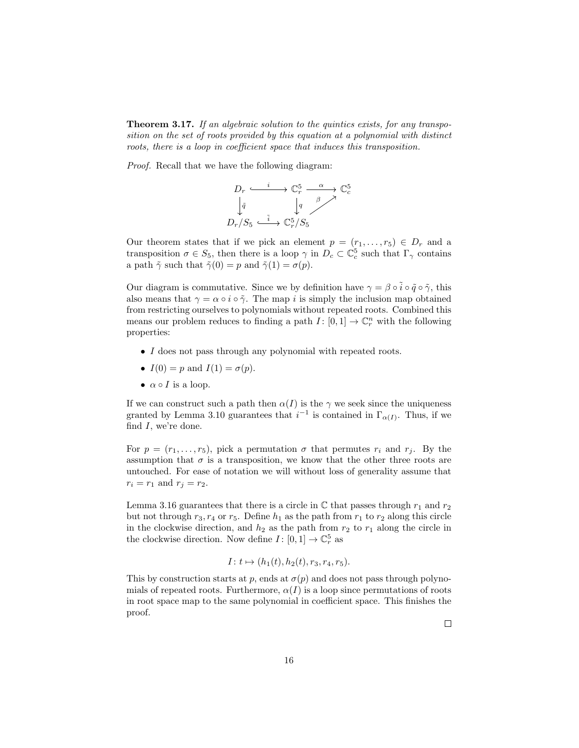**Theorem 3.17.** If an algebraic solution to the quintics exists, for any transposition on the set of roots provided by this equation at a polynomial with distinct roots, there is a loop in coefficient space that induces this transposition.

Proof. Recall that we have the following diagram:

$$
D_r \xrightarrow{i} \mathbb{C}_r^5 \xrightarrow{\alpha} \mathbb{C}_c^5
$$

$$
\downarrow \tilde{q} \qquad \downarrow q \qquad \qquad \beta \nearrow
$$

$$
D_r/S_5 \xrightarrow{\tilde{i}} \mathbb{C}_r^5/S_5
$$

Our theorem states that if we pick an element  $p = (r_1, \ldots, r_5) \in D_r$  and a transposition  $\sigma \in S_5$ , then there is a loop  $\gamma$  in  $D_c \subset \mathbb{C}_c^5$  such that  $\Gamma_{\gamma}$  contains a path  $\tilde{\gamma}$  such that  $\tilde{\gamma}(0) = p$  and  $\tilde{\gamma}(1) = \sigma(p)$ .

Our diagram is commutative. Since we by definition have  $\gamma = \beta \circ \tilde{i} \circ \tilde{q} \circ \tilde{\gamma}$ , this also means that  $\gamma = \alpha \circ i \circ \tilde{\gamma}$ . The map i is simply the inclusion map obtained from restricting ourselves to polynomials without repeated roots. Combined this means our problem reduces to finding a path  $I: [0,1] \to \mathbb{C}_r^n$  with the following properties:

- I does not pass through any polynomial with repeated roots.
- $I(0) = p$  and  $I(1) = \sigma(p)$ .
- $\alpha \circ I$  is a loop.

If we can construct such a path then  $\alpha(I)$  is the  $\gamma$  we seek since the uniqueness granted by Lemma 3.10 guarantees that  $i^{-1}$  is contained in  $\Gamma_{\alpha(I)}$ . Thus, if we find  $I$ , we're done.

For  $p = (r_1, \ldots, r_5)$ , pick a permutation  $\sigma$  that permutes  $r_i$  and  $r_j$ . By the assumption that  $\sigma$  is a transposition, we know that the other three roots are untouched. For ease of notation we will without loss of generality assume that  $r_i = r_1$  and  $r_j = r_2$ .

Lemma 3.16 guarantees that there is a circle in  $\mathbb C$  that passes through  $r_1$  and  $r_2$ but not through  $r_3, r_4$  or  $r_5$ . Define  $h_1$  as the path from  $r_1$  to  $r_2$  along this circle in the clockwise direction, and  $h_2$  as the path from  $r_2$  to  $r_1$  along the circle in the clockwise direction. Now define  $I: [0,1] \to \mathbb{C}^5_r$  as

$$
I: t \mapsto (h_1(t), h_2(t), r_3, r_4, r_5).
$$

This by construction starts at p, ends at  $\sigma(p)$  and does not pass through polynomials of repeated roots. Furthermore,  $\alpha(I)$  is a loop since permutations of roots in root space map to the same polynomial in coefficient space. This finishes the proof.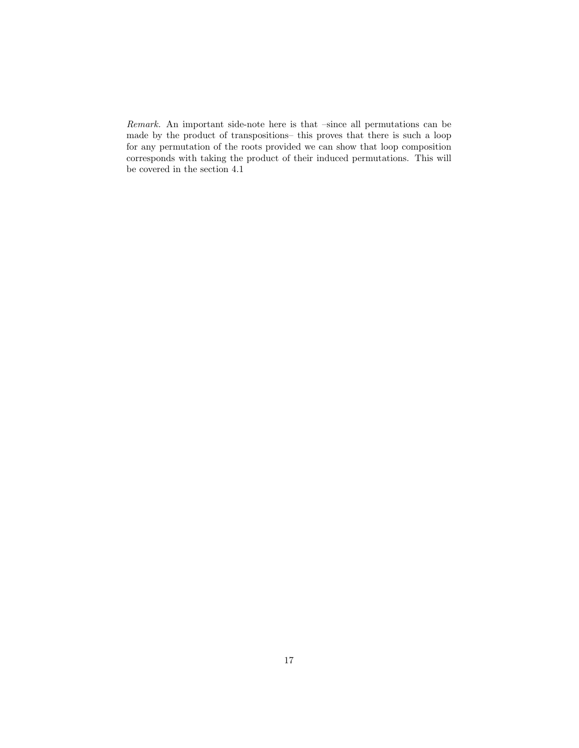Remark. An important side-note here is that –since all permutations can be made by the product of transpositions– this proves that there is such a loop for any permutation of the roots provided we can show that loop composition corresponds with taking the product of their induced permutations. This will be covered in the section 4.1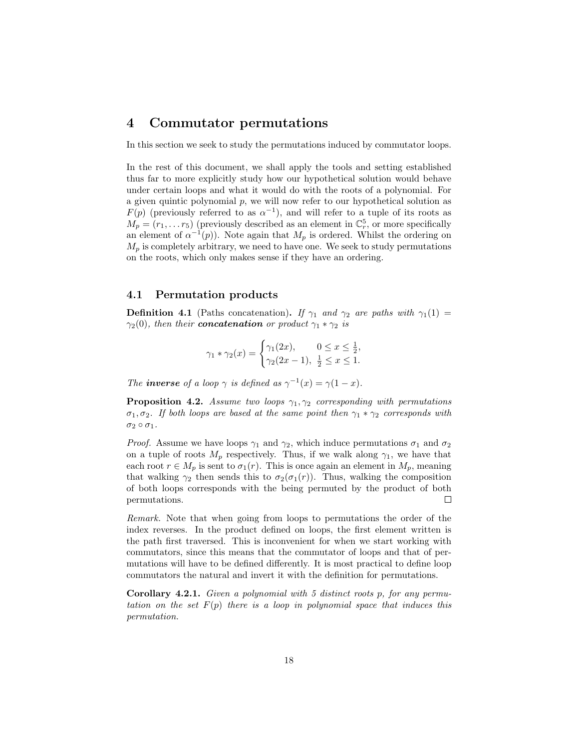## 4 Commutator permutations

In this section we seek to study the permutations induced by commutator loops.

In the rest of this document, we shall apply the tools and setting established thus far to more explicitly study how our hypothetical solution would behave under certain loops and what it would do with the roots of a polynomial. For a given quintic polynomial  $p$ , we will now refer to our hypothetical solution as  $F(p)$  (previously referred to as  $\alpha^{-1}$ ), and will refer to a tuple of its roots as  $M_p = (r_1, \ldots r_5)$  (previously described as an element in  $\mathbb{C}_r^5$ , or more specifically an element of  $\alpha^{-1}(p)$ ). Note again that  $M_p$  is ordered. Whilst the ordering on  $M_p$  is completely arbitrary, we need to have one. We seek to study permutations on the roots, which only makes sense if they have an ordering.

#### 4.1 Permutation products

**Definition 4.1** (Paths concatenation). If  $\gamma_1$  and  $\gamma_2$  are paths with  $\gamma_1(1)$  =  $\gamma_2(0)$ , then their **concatenation** or product  $\gamma_1 * \gamma_2$  is

$$
\gamma_1 * \gamma_2(x) = \begin{cases} \gamma_1(2x), & 0 \le x \le \frac{1}{2}, \\ \gamma_2(2x - 1), & \frac{1}{2} \le x \le 1. \end{cases}
$$

The **inverse** of a loop  $\gamma$  is defined as  $\gamma^{-1}(x) = \gamma(1-x)$ .

**Proposition 4.2.** Assume two loops  $\gamma_1, \gamma_2$  corresponding with permutations  $\sigma_1, \sigma_2$ . If both loops are based at the same point then  $\gamma_1 * \gamma_2$  corresponds with  $\sigma_2 \circ \sigma_1$ .

*Proof.* Assume we have loops  $\gamma_1$  and  $\gamma_2$ , which induce permutations  $\sigma_1$  and  $\sigma_2$ on a tuple of roots  $M_p$  respectively. Thus, if we walk along  $\gamma_1$ , we have that each root  $r \in M_p$  is sent to  $\sigma_1(r)$ . This is once again an element in  $M_p$ , meaning that walking  $\gamma_2$  then sends this to  $\sigma_2(\sigma_1(r))$ . Thus, walking the composition of both loops corresponds with the being permuted by the product of both  $\Box$ permutations.

Remark. Note that when going from loops to permutations the order of the index reverses. In the product defined on loops, the first element written is the path first traversed. This is inconvenient for when we start working with commutators, since this means that the commutator of loops and that of permutations will have to be defined differently. It is most practical to define loop commutators the natural and invert it with the definition for permutations.

**Corollary 4.2.1.** Given a polynomial with  $5$  distinct roots  $p$ , for any permutation on the set  $F(p)$  there is a loop in polynomial space that induces this permutation.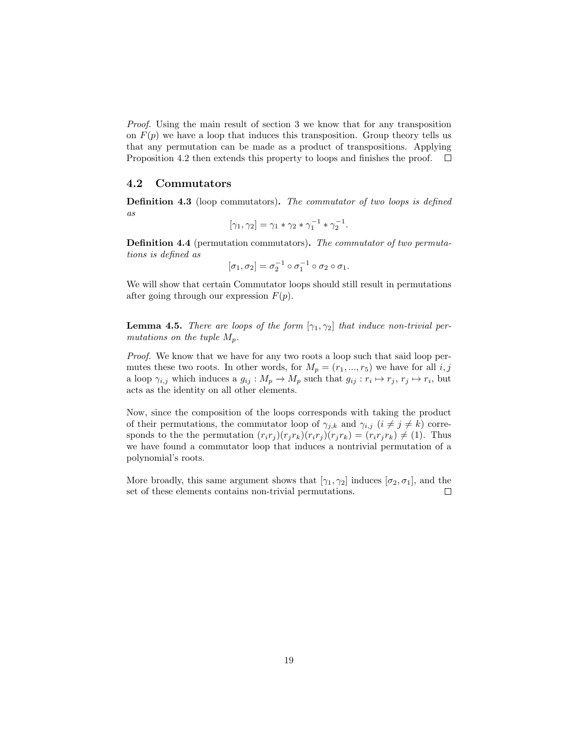Proof. Using the main result of section 3 we know that for any transposition on  $F(p)$  we have a loop that induces this transposition. Group theory tells us that any permutation can be made as a product of transpositions. Applying Proposition 4.2 then extends this property to loops and finishes the proof.  $\Box$ 

#### 4.2 Commutators

Definition 4.3 (loop commutators). The commutator of two loops is defined as

$$
[\gamma_1, \gamma_2] = \gamma_1 * \gamma_2 * \gamma_1^{-1} * \gamma_2^{-1}.
$$

Definition 4.4 (permutation commutators). The commutator of two permutations is defined as

$$
[\sigma_1, \sigma_2] = \sigma_2^{-1} \circ \sigma_1^{-1} \circ \sigma_2 \circ \sigma_1.
$$

We will show that certain Commutator loops should still result in permutations after going through our expression  $F(p)$ .

**Lemma 4.5.** There are loops of the form  $[\gamma_1, \gamma_2]$  that induce non-trivial permutations on the tuple  $M_p$ .

*Proof.* We know that we have for any two roots a loop such that said loop permutes these two roots. In other words, for  $M_p = (r_1, ..., r_5)$  we have for all  $i, j$ a loop  $\gamma_{i,j}$  which induces a  $g_{ij}: M_p \to M_p$  such that  $g_{ij}: r_i \mapsto r_j, r_j \mapsto r_i$ , but acts as the identity on all other elements.

Now, since the composition of the loops corresponds with taking the product of their permutations, the commutator loop of  $\gamma_{j,k}$  and  $\gamma_{i,j}$   $(i \neq j \neq k)$  corresponds to the the permutation  $(r_i r_j)(r_j r_k)(r_i r_j)(r_j r_k) = (r_i r_j r_k) \neq (1)$ . Thus we have found a commutator loop that induces a nontrivial permutation of a polynomial's roots.

More broadly, this same argument shows that  $[\gamma_1, \gamma_2]$  induces  $[\sigma_2, \sigma_1]$ , and the set of these elements contains non-trivial permutations.  $\Box$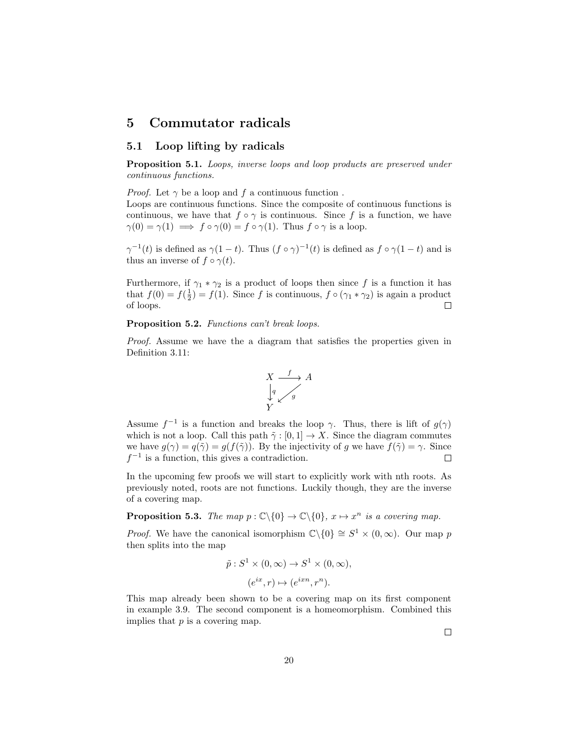## 5 Commutator radicals

### 5.1 Loop lifting by radicals

Proposition 5.1. Loops, inverse loops and loop products are preserved under continuous functions.

*Proof.* Let  $\gamma$  be a loop and f a continuous function.

Loops are continuous functions. Since the composite of continuous functions is continuous, we have that  $f \circ \gamma$  is continuous. Since f is a function, we have  $\gamma(0) = \gamma(1) \implies f \circ \gamma(0) = f \circ \gamma(1)$ . Thus  $f \circ \gamma$  is a loop.

 $\gamma^{-1}(t)$  is defined as  $\gamma(1-t)$ . Thus  $(f \circ \gamma)^{-1}(t)$  is defined as  $f \circ \gamma(1-t)$  and is thus an inverse of  $f \circ \gamma(t)$ .

Furthermore, if  $\gamma_1 * \gamma_2$  is a product of loops then since f is a function it has that  $f(0) = f(\frac{1}{2}) = f(1)$ . Since f is continuous,  $f \circ (\gamma_1 * \gamma_2)$  is again a product of loops.  $\Box$ 

Proposition 5.2. Functions can't break loops.

Proof. Assume we have the a diagram that satisfies the properties given in Definition 3.11:



Assume  $f^{-1}$  is a function and breaks the loop  $\gamma$ . Thus, there is lift of  $g(\gamma)$ which is not a loop. Call this path  $\tilde{\gamma} : [0, 1] \to X$ . Since the diagram commutes we have  $g(\gamma) = q(\tilde{\gamma}) = g(f(\tilde{\gamma}))$ . By the injectivity of g we have  $f(\tilde{\gamma}) = \gamma$ . Since  $f^{-1}$  is a function, this gives a contradiction.  $\Box$ 

In the upcoming few proofs we will start to explicitly work with nth roots. As previously noted, roots are not functions. Luckily though, they are the inverse of a covering map.

**Proposition 5.3.** The map  $p : \mathbb{C}\backslash\{0\} \to \mathbb{C}\backslash\{0\}$ ,  $x \mapsto x^n$  is a covering map.

*Proof.* We have the canonical isomorphism  $\mathbb{C}\backslash\{0\} \cong S^1 \times (0,\infty)$ . Our map p then splits into the map

$$
\tilde{p}: S^1 \times (0, \infty) \to S^1 \times (0, \infty),
$$
  

$$
(e^{ix}, r) \mapsto (e^{ixn}, r^n).
$$

This map already been shown to be a covering map on its first component in example 3.9. The second component is a homeomorphism. Combined this implies that  $p$  is a covering map.

 $\Box$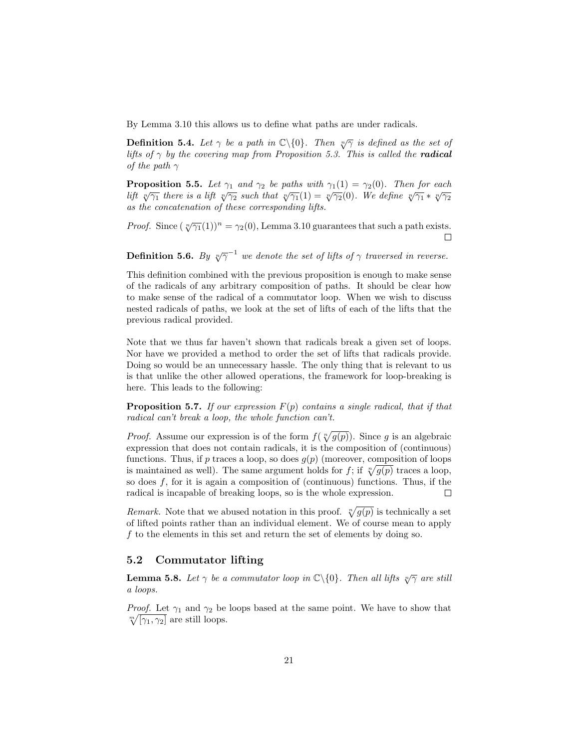By Lemma 3.10 this allows us to define what paths are under radicals.

**Definition 5.4.** Let  $\gamma$  be a path in  $\mathbb{C}\backslash\{0\}$ . Then  $\sqrt[n]{\gamma}$  is defined as the set of lifts of  $\gamma$  by the covering map from Proposition 5.3. This is called the **radical** of the path  $\gamma$ 

**Proposition 5.5.** Let  $\gamma_1$  and  $\gamma_2$  be paths with  $\gamma_1(1) = \gamma_2(0)$ . Then for each lift  $\sqrt[n]{\gamma_1}$  there is a lift  $\sqrt[n]{\gamma_2}$  such that  $\sqrt[n]{\gamma_1}(1) = \sqrt[n]{\gamma_2}(0)$ . We define  $\sqrt[n]{\gamma_1} * \sqrt[n]{\gamma_2}$ as the concatenation of these corresponding lifts.

*Proof.* Since  $({\sqrt[n]{\gamma_1}(1)})^n = \gamma_2(0)$ , Lemma 3.10 guarantees that such a path exists.  $\Box$ 

**Definition 5.6.** By  $\sqrt[n]{\gamma}^{-1}$  we denote the set of lifts of  $\gamma$  traversed in reverse.

This definition combined with the previous proposition is enough to make sense of the radicals of any arbitrary composition of paths. It should be clear how to make sense of the radical of a commutator loop. When we wish to discuss nested radicals of paths, we look at the set of lifts of each of the lifts that the previous radical provided.

Note that we thus far haven't shown that radicals break a given set of loops. Nor have we provided a method to order the set of lifts that radicals provide. Doing so would be an unnecessary hassle. The only thing that is relevant to us is that unlike the other allowed operations, the framework for loop-breaking is here. This leads to the following:

**Proposition 5.7.** If our expression  $F(p)$  contains a single radical, that if that radical can't break a loop, the whole function can't.

*Proof.* Assume our expression is of the form  $f(\sqrt[n]{g(p)})$ . Since g is an algebraic expression that does not contain radicals, it is the composition of (continuous) functions. Thus, if p traces a loop, so does  $g(p)$  (moreover, composition of loops is maintained as well). The same argument holds for f; if  $\sqrt[n]{g(p)}$  traces a loop, so does  $f$ , for it is again a composition of (continuous) functions. Thus, if the radical is incapable of breaking loops, so is the whole expression.  $\Box$ 

Remark. Note that we abused notation in this proof.  $\sqrt[n]{g(p)}$  is technically a set of lifted points rather than an individual element. We of course mean to apply f to the elements in this set and return the set of elements by doing so.

#### 5.2 Commutator lifting

**Lemma 5.8.** Let  $\gamma$  be a commutator loop in  $\mathbb{C}\backslash\{0\}$ . Then all lifts  $\sqrt[n]{\gamma}$  are still a loops.

*Proof.* Let  $\gamma_1$  and  $\gamma_2$  be loops based at the same point. We have to show that  $\sqrt[m]{[\gamma_1, \gamma_2]}$  are still loops.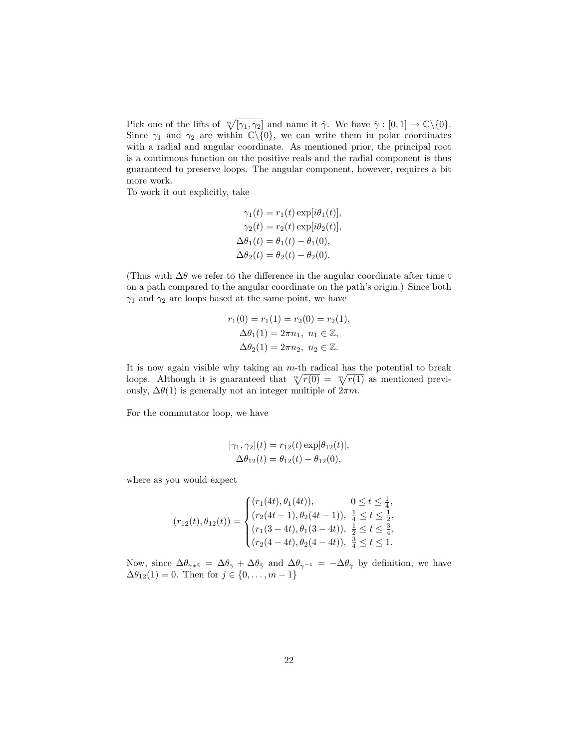Pick one of the lifts of  $\sqrt[m]{[\gamma_1, \gamma_2]}$  and name it  $\hat{\gamma}$ . We have  $\hat{\gamma} : [0, 1] \to \mathbb{C} \setminus \{0\}.$ Since  $\gamma_1$  and  $\gamma_2$  are within  $\mathbb{C}\setminus\{0\}$ , we can write them in polar coordinates with a radial and angular coordinate. As mentioned prior, the principal root is a continuous function on the positive reals and the radial component is thus guaranteed to preserve loops. The angular component, however, requires a bit more work.

To work it out explicitly, take

$$
\gamma_1(t) = r_1(t) \exp[i\theta_1(t)],
$$
  
\n
$$
\gamma_2(t) = r_2(t) \exp[i\theta_2(t)],
$$
  
\n
$$
\Delta\theta_1(t) = \theta_1(t) - \theta_1(0),
$$
  
\n
$$
\Delta\theta_2(t) = \theta_2(t) - \theta_2(0).
$$

(Thus with  $\Delta\theta$  we refer to the difference in the angular coordinate after time t on a path compared to the angular coordinate on the path's origin.) Since both  $\gamma_1$  and  $\gamma_2$  are loops based at the same point, we have

$$
r_1(0) = r_1(1) = r_2(0) = r_2(1),
$$
  
\n
$$
\Delta \theta_1(1) = 2\pi n_1, n_1 \in \mathbb{Z},
$$
  
\n
$$
\Delta \theta_2(1) = 2\pi n_2, n_2 \in \mathbb{Z}.
$$

It is now again visible why taking an  $m$ -th radical has the potential to break loops. Although it is guaranteed that  $\sqrt[m]{r(0)} = \sqrt[m]{r(1)}$  as mentioned previously,  $\Delta\theta(1)$  is generally not an integer multiple of  $2\pi m$ .

For the commutator loop, we have

$$
[\gamma_1, \gamma_2](t) = r_{12}(t) \exp[\theta_{12}(t)],
$$
  

$$
\Delta \theta_{12}(t) = \theta_{12}(t) - \theta_{12}(0),
$$

where as you would expect

$$
(r_{12}(t), \theta_{12}(t)) = \begin{cases} (r_1(4t), \theta_1(4t)), & 0 \le t \le \frac{1}{4}, \\ (r_2(4t-1), \theta_2(4t-1)), \frac{1}{4} \le t \le \frac{1}{2}, \\ (r_1(3-4t), \theta_1(3-4t)), \frac{1}{2} \le t \le \frac{3}{4}, \\ (r_2(4-4t), \theta_2(4-4t)), \frac{3}{4} \le t \le 1. \end{cases}
$$

Now, since  $\Delta\theta_{\gamma*\tilde{\gamma}} = \Delta\theta_{\gamma} + \Delta\theta_{\tilde{\gamma}}$  and  $\Delta\theta_{\gamma^{-1}} = -\Delta\theta_{\gamma}$  by definition, we have  $\Delta \theta_{12}(1) = 0$ . Then for  $j \in \{0, ..., m-1\}$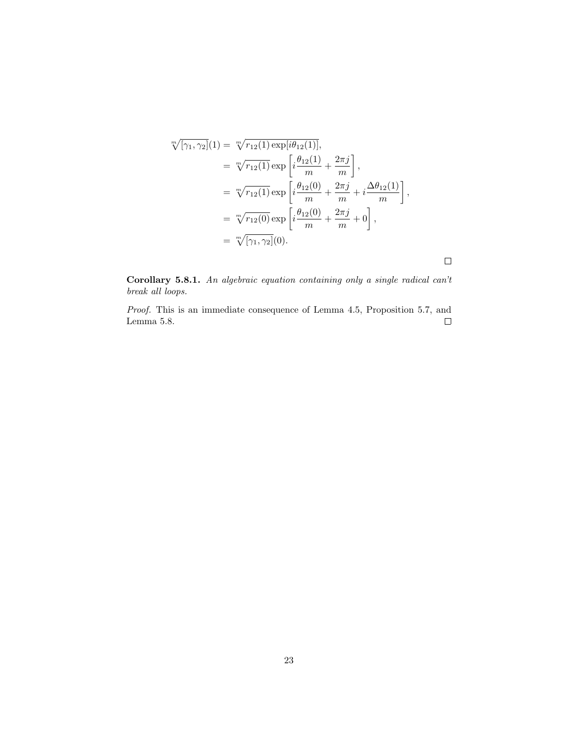$$
\sqrt[m]{[\gamma_1, \gamma_2]}(1) = \sqrt[m]{r_{12}(1) \exp[i\theta_{12}(1)]},
$$
\n
$$
= \sqrt[m]{r_{12}(1)} \exp\left[i\frac{\theta_{12}(1)}{m} + \frac{2\pi j}{m}\right],
$$
\n
$$
= \sqrt[m]{r_{12}(1)} \exp\left[i\frac{\theta_{12}(0)}{m} + \frac{2\pi j}{m} + i\frac{\Delta\theta_{12}(1)}{m}\right],
$$
\n
$$
= \sqrt[m]{r_{12}(0)} \exp\left[i\frac{\theta_{12}(0)}{m} + \frac{2\pi j}{m} + 0\right],
$$
\n
$$
= \sqrt[m]{[\gamma_1, \gamma_2]}(0).
$$

Corollary 5.8.1. An algebraic equation containing only a single radical can't break all loops.

 $\Box$ 

Proof. This is an immediate consequence of Lemma 4.5, Proposition 5.7, and Lemma 5.8.  $\Box$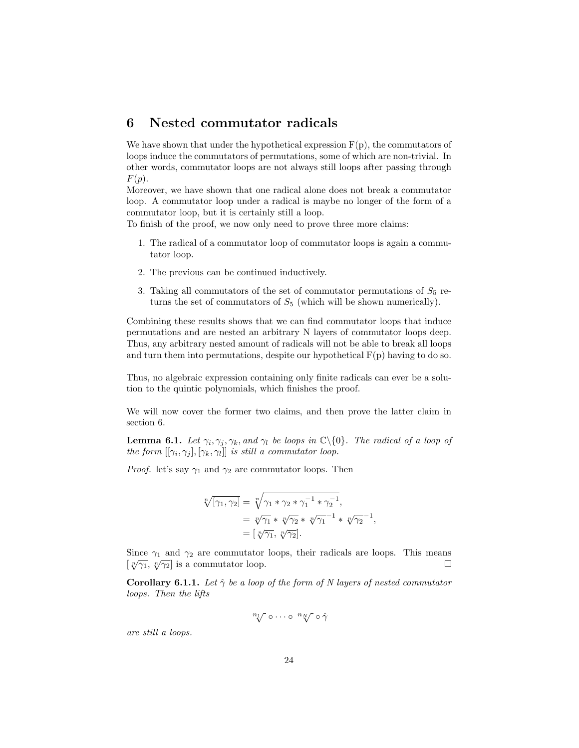## 6 Nested commutator radicals

We have shown that under the hypothetical expression  $F(p)$ , the commutators of loops induce the commutators of permutations, some of which are non-trivial. In other words, commutator loops are not always still loops after passing through  $F(p).$ 

Moreover, we have shown that one radical alone does not break a commutator loop. A commutator loop under a radical is maybe no longer of the form of a commutator loop, but it is certainly still a loop.

To finish of the proof, we now only need to prove three more claims:

- 1. The radical of a commutator loop of commutator loops is again a commutator loop.
- 2. The previous can be continued inductively.
- 3. Taking all commutators of the set of commutator permutations of  $S_5$  returns the set of commutators of  $S_5$  (which will be shown numerically).

Combining these results shows that we can find commutator loops that induce permutations and are nested an arbitrary N layers of commutator loops deep. Thus, any arbitrary nested amount of radicals will not be able to break all loops and turn them into permutations, despite our hypothetical  $F(p)$  having to do so.

Thus, no algebraic expression containing only finite radicals can ever be a solution to the quintic polynomials, which finishes the proof.

We will now cover the former two claims, and then prove the latter claim in section 6.

**Lemma 6.1.** Let  $\gamma_i, \gamma_j, \gamma_k$ , and  $\gamma_l$  be loops in  $\mathbb{C}\backslash\{0\}$ . The radical of a loop of the form  $[[\gamma_i, \gamma_j], [\gamma_k, \gamma_l]]$  is still a commutator loop.

*Proof.* let's say  $\gamma_1$  and  $\gamma_2$  are commutator loops. Then

$$
\sqrt[n]{[\gamma_1, \gamma_2]} = \sqrt[n]{\gamma_1 * \gamma_2 * \gamma_1^{-1} * \gamma_2^{-1}},
$$
  
=  $\sqrt[n]{\gamma_1} * \sqrt[n]{\gamma_2} * \sqrt[n]{\gamma_1}^{-1} * \sqrt[n]{\gamma_2}^{-1},$   
=  $[\sqrt[n]{\gamma_1}, \sqrt[n]{\gamma_2}].$ 

Since  $\gamma_1$  and  $\gamma_2$  are commutator loops, their radicals are loops. This means  $\left[\sqrt[n]{\gamma_1}, \sqrt[n]{\gamma_2}\right]$  is a commutator loop.  $\Box$ 

**Corollary 6.1.1.** Let  $\hat{\gamma}$  be a loop of the form of N layers of nested commutator loops. Then the lifts

$$
\sqrt[n_1]{\circ \cdots \circ \sqrt[n_N]{\circ \hat{\gamma}}}
$$

are still a loops.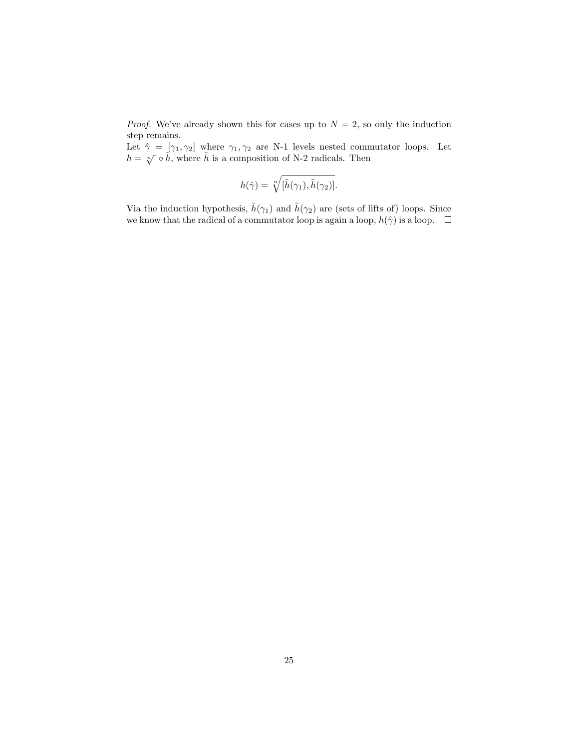*Proof.* We've already shown this for cases up to  $N = 2$ , so only the induction step remains.

Let  $\hat{\gamma} = [\gamma_1, \gamma_2]$  where  $\gamma_1, \gamma_2$  are N-1 levels nested commutator loops. Let  $h = \sqrt[n]{\circ \tilde{h}}$ , where  $\tilde{h}$  is a composition of N-2 radicals. Then

$$
h(\hat{\gamma}) = \sqrt[n]{[\tilde{h}(\gamma_1), \tilde{h}(\gamma_2)]}.
$$

Via the induction hypothesis,  $\tilde{h}(\gamma_1)$  and  $\tilde{h}(\gamma_2)$  are (sets of lifts of) loops. Since we know that the radical of a commutator loop is again a loop,  $h(\hat{\gamma})$  is a loop.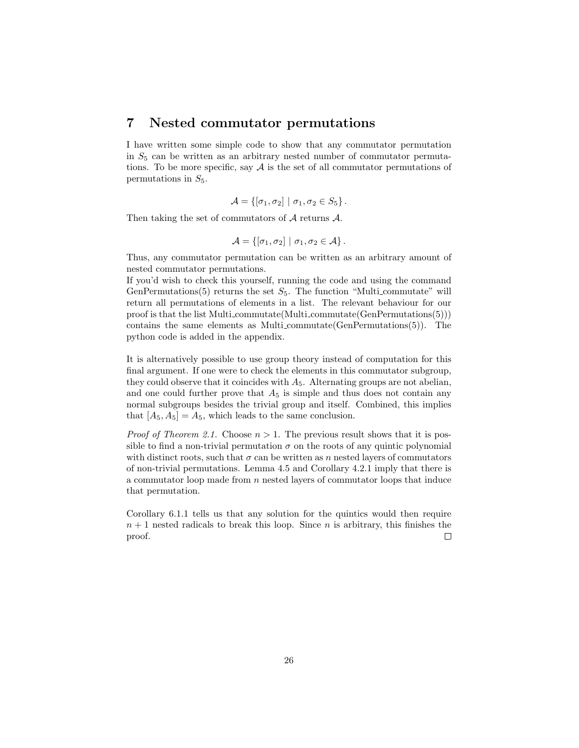### 7 Nested commutator permutations

I have written some simple code to show that any commutator permutation in  $S_5$  can be written as an arbitrary nested number of commutator permutations. To be more specific, say  $A$  is the set of all commutator permutations of permutations in  $S_5$ .

$$
\mathcal{A} = \{ [\sigma_1, \sigma_2] \mid \sigma_1, \sigma_2 \in S_5 \}.
$$

Then taking the set of commutators of  $A$  returns  $A$ .

$$
\mathcal{A} = \{ [\sigma_1, \sigma_2] \mid \sigma_1, \sigma_2 \in \mathcal{A} \}.
$$

Thus, any commutator permutation can be written as an arbitrary amount of nested commutator permutations.

If you'd wish to check this yourself, running the code and using the command GenPermutations(5) returns the set  $S_5$ . The function "Multi-commutate" will return all permutations of elements in a list. The relevant behaviour for our proof is that the list Multi commutate(Multi commutate(GenPermutations(5))) contains the same elements as Multi-commutate  $(GenPermutations(5))$ . The python code is added in the appendix.

It is alternatively possible to use group theory instead of computation for this final argument. If one were to check the elements in this commutator subgroup, they could observe that it coincides with  $A_5$ . Alternating groups are not abelian, and one could further prove that  $A_5$  is simple and thus does not contain any normal subgroups besides the trivial group and itself. Combined, this implies that  $[A_5, A_5] = A_5$ , which leads to the same conclusion.

*Proof of Theorem 2.1.* Choose  $n > 1$ . The previous result shows that it is possible to find a non-trivial permutation  $\sigma$  on the roots of any quintic polynomial with distinct roots, such that  $\sigma$  can be written as n nested layers of commutators of non-trivial permutations. Lemma 4.5 and Corollary 4.2.1 imply that there is a commutator loop made from  $n$  nested layers of commutator loops that induce that permutation.

Corollary 6.1.1 tells us that any solution for the quintics would then require  $n + 1$  nested radicals to break this loop. Since *n* is arbitrary, this finishes the proof.  $\Box$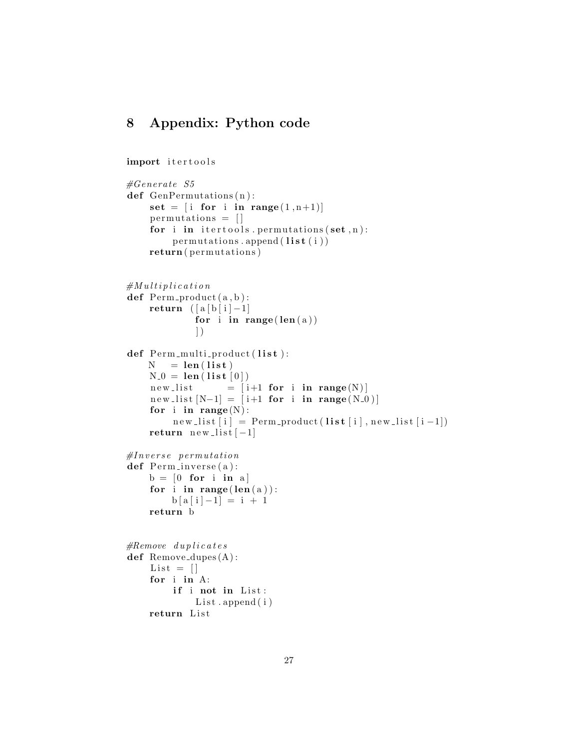## 8 Appendix: Python code

```
import itertools
```

```
#Generate S5def GenPermutations (n):
     set = \begin{bmatrix} i & for & i & in & range(1, n+1) \end{bmatrix}permutations = []for i in itertools. permutations (set, n):
         permutations. append (\text{list} (i))return ( permutations )
#Multi plicationdef Perm\_product(a, b):
    return ([a [b [i] -1])for i in range (len(a))\left| \right)def Perm_multi_product(list):
    N = len(list)N_0 = len(list[0])new_list = [i+1 for i in range(N)]new_list [N-1] = [i+1 for i in range(N_0)]for i in range(N):
          new\_list[i] = Perm\_product(list[i], new\_list[i-1])return new-list[-1]#Inverse permutation
def Perm_inverse(a):
    b = \begin{bmatrix} 0 & \textbf{for} & \textbf{i} & \textbf{in} & a \end{bmatrix}for i in range (len(a)):
         b [a [i] -1] = i + 1return b
#Remove \ dy \, plicatesdef Remove_dupes(A):
     List = []for i in A:
         if i not in List:
              List.append(i)return List
```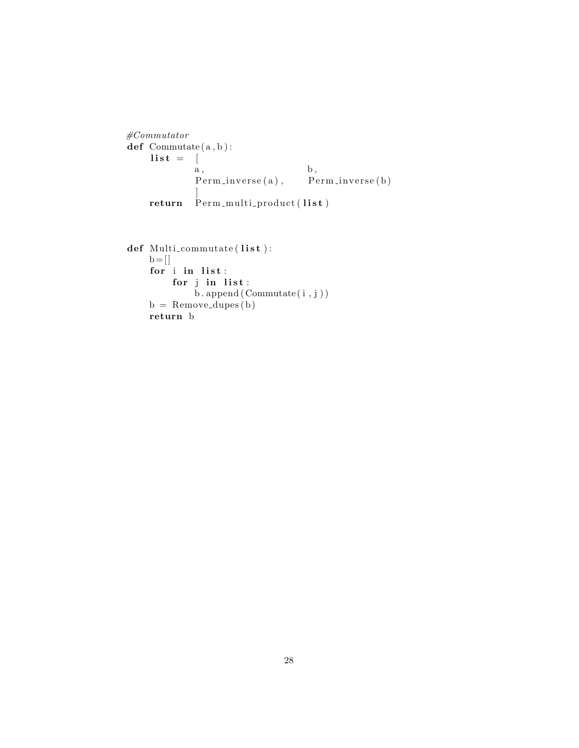```
#Commutator
def Commutate(a, b):
   \mathbf{list} = [a, b,Perm_inverse(a), Perm_inverse(b)]
   return Perm-multi-product (list)
```

```
\operatorname{\mathbf{def}} Multi_commutate ( \operatorname{\mathbf{list}} ):
      b = []for i in list:
             for j in list:
                   \mathbf{b}. append (Commutate (i, j))
      b =Remove_dupes(b)
      return b
```